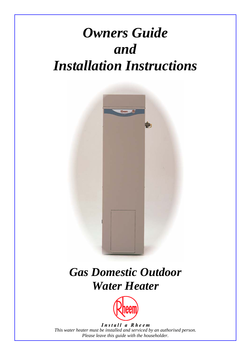# *Owners Guide and Installation Instructions*



# *Gas Domestic Outdoor Water Heater*



Install a Rheem *This water heater must be installed and serviced by an authorised person. Please leave this guide with the householder.*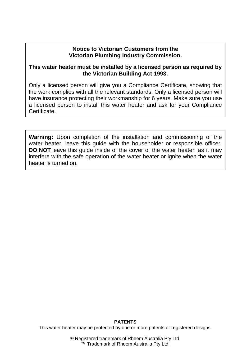### **Notice to Victorian Customers from the Victorian Plumbing Industry Commission.**

### **This water heater must be installed by a licensed person as required by the Victorian Building Act 1993.**

Only a licensed person will give you a Compliance Certificate, showing that the work complies with all the relevant standards. Only a licensed person will have insurance protecting their workmanship for 6 years. Make sure you use a licensed person to install this water heater and ask for your Compliance Certificate.

**Warning:** Upon completion of the installation and commissioning of the water heater, leave this quide with the householder or responsible officer. **DO NOT** leave this guide inside of the cover of the water heater, as it may interfere with the safe operation of the water heater or ignite when the water heater is turned on.

#### **PATENTS**

This water heater may be protected by one or more patents or registered designs.

® Registered trademark of Rheem Australia Pty Ltd. ™ Trademark of Rheem Australia Pty Ltd.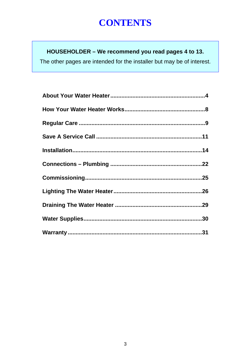# **CONTENTS**

# HOUSEHOLDER - We recommend you read pages 4 to 13.

The other pages are intended for the installer but may be of interest.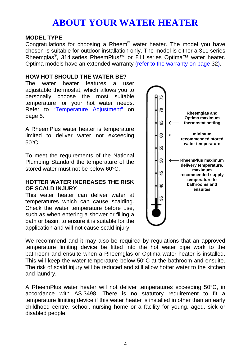#### <span id="page-3-0"></span>**MODEL TYPE**

Congratulations for choosing a Rheem® water heater. The model you have chosen is suitable for outdoor installation only. The model is either a 311 series Rheemglas<sup>®</sup>, 314 series RheemPlus<sup>™</sup> or 811 series Optima™ water heater. Optima models have an extended warranty (refer to the warranty on page 32).

#### <span id="page-3-1"></span>**HOW HOT SHOULD THE WATER BE?**

The water heater features a user adjustable thermostat, which allows you to personally choose the most suitable temperature for your hot water needs. Refer to "Temperature Adjustment" on page 5.

A RheemPlus water heater is temperature limited to deliver water not exceeding 50°C.

To meet the requirements of the National Plumbing Standard the temperature of the stored water must not be below 60°C.

### **HOTTER WATER INCREASES THE RISK OF SCALD INJURY**

This water heater can deliver water at temperatures which can cause scalding. Check the water temperature before use, such as when entering a shower or filling a bath or basin, to ensure it is suitable for the application and will not cause scald injury.



We recommend and it may also be required by regulations that an approved temperature limiting device be fitted into the hot water pipe work to the bathroom and ensuite when a Rheemglas or Optima water heater is installed. This will keep the water temperature below  $50^{\circ}$ C at the bathroom and ensuite. The risk of scald injury will be reduced and still allow hotter water to the kitchen and laundry.

A RheemPlus water heater will not deliver temperatures exceeding 50°C, in accordance with AS 3498. There is no statutory requirement to fit a temperature limiting device if this water heater is installed in other than an early childhood centre, school, nursing home or a facility for young, aged, sick or disabled people.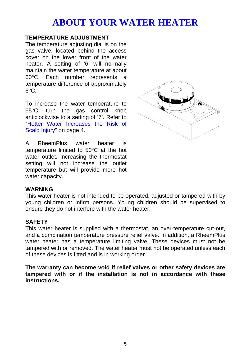### <span id="page-4-0"></span>**TEMPERATURE ADJUSTMENT**

The temperature adjusting dial is on the gas valve, located behind the access cover on the lower front of the water heater. A setting of '6' will normally maintain the water temperature at about 60°C. Each number represents a temperature difference of approximately 6°C.

To increase the water temperature to 65°C, turn the gas control knob anticlockwise to a setting of '7'. Refer to ["Hotter Water Increases the Risk](#page-3-1) of Scald Injury" on page 4.



A RheemPlus water heater is temperature limited to 50°C at the hot water outlet. Increasing the thermostat setting will not increase the outlet temperature but will provide more hot water capacity.

#### **WARNING**

This water heater is not intended to be operated, adjusted or tampered with by young children or infirm persons. Young children should be supervised to ensure they do not interfere with the water heater.

### **SAFETY**

This water heater is supplied with a thermostat, an over-temperature cut-out, and a combination temperature pressure relief valve. In addition, a RheemPlus water heater has a temperature limiting valve. These devices must not be tampered with or removed. The water heater must not be operated unless each of these devices is fitted and is in working order.

**The warranty can become void if relief valves or other safety devices are tampered with or if the installation is not in accordance with these instructions.**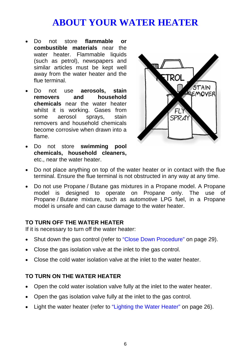- Do not store **flammable or combustible materials** near the water heater. Flammable liquids (such as petrol), newspapers and similar articles must be kept well away from the water heater and the flue terminal.
- <span id="page-5-0"></span>• Do not use **aerosols, stain removers and household chemicals** near the water heater whilst it is working. Gases from some aerosol sprays, stain removers and household chemicals become corrosive when drawn into a flame.
- Do not store **swimming pool chemicals, household cleaners,** etc., near the water heater.



- Do not place anything on top of the water heater or in contact with the flue terminal. Ensure the flue terminal is not obstructed in any way at any time.
- Do not use Propane / Butane gas mixtures in a Propane model. A Propane model is designed to operate on Propane [only. The use of](#page-25-1)  Propane / Butane mixture, such as automotive LPG fuel, in a Propane model is unsafe and can cause damage to the water heater.

### **TO TURN OFF THE WATER HEATER**

If it is necessary to turn off the water heater:

- Shut down the gas control (refer to "Close Down Procedure" on page 29).
- Close the gas isolation valve at the inlet to the gas control.
- Close the cold water isolation valve at the inlet to the water heater.

### **TO TURN ON THE WATER HEATER**

- Open the cold water isolation valve fully at the inlet to the water heater.
- Open the gas isolation valve fully at the inlet to the gas control.
- Light the water heater (refer to "Lighting the Water Heater" on page 26).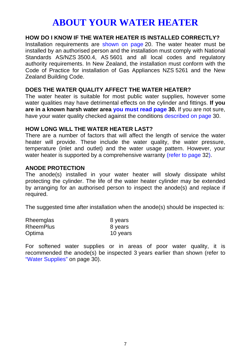### **HOW DO I KNOW IF THE WATER HEATER IS INSTALLED CORRECTLY?**

Installation requirements are shown on page 20. The water heater must be installed by an authorised person and the installation must comply with National Standards AS/NZS 3500.4, AS 5601 and all local codes and regulatory authority requirements. In New Zealand, the installation must conform with the Code of Practice for installation of Gas Appliances NZS 5261 and the New Zealand Building Code.

#### **DOES THE WATER QUALITY AFFECT THE WATER HEATER?**

The water heater is suitable for most public water supplies, however some water qualities may have detrimental effects on the cylinder and fittings. **If you are in a known harsh water area you must read page 30.** If you are not sure, have your water quality checked against the conditions described on page 30.

#### **HOW LONG WILL THE WATER HEATER LAST?**

There are a number of factors that will affect the length of service the water heater will provide. [These include th](#page-29-0)e water [qu](#page-29-0)ality, the water pressure, temperature (inlet and outlet) and the water usage pattern. However, your water heater is supported by a comprehensive warranty (refer to page 32).

### **ANODE PROTECTION**

The anode(s) installed in your water heater will slowly dissipate whilst protecting the cylinder. The life of the water heater cylinder may be extended by arranging for an authorised person to inspect the anode(s) and replace if required.

The suggested time after installation when the anode(s) should be inspected is:

| Rheemglas        | 8 years  |
|------------------|----------|
| <b>RheemPlus</b> | 8 years  |
| Optima           | 10 years |

For softened water supplies or in areas of poor water quality, it is recommended the anode(s) be inspected 3 years earlier than shown (refer to "Water Supplies" on page 30).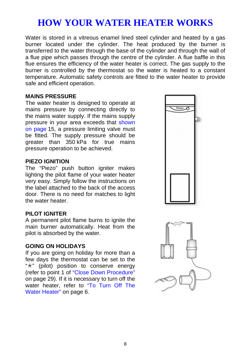# <span id="page-7-0"></span>**HOW YOUR WATER HEATER WORKS**

Water is stored in a vitreous enamel lined steel cylinder and heated by a gas burner located under the cylinder. The heat produced by the burner is transferred to the water through the base of the cylinder and through the wall of a flue pipe which passes through the centre of the cylinder. A flue baffle in this flue ensures the efficiency of the water heater is correct. The gas supply to the burner is controlled by the thermostat so the water is heated to a constant temperature. Automatic safety controls are fitted to the water heater to provide safe and efficient operation.

#### **MAINS PRESSURE**

The water heater is designed to operate at mains pressure by connecting directly to the mains water supply. If the mains supply pressure in your area exceeds that shown on page 15, a pressure limiting valve must be fitted. The supply pressure should be greater than 350 kPa for true mains pressure operation to be achieved.

#### **PIEZO IGNITION**

The "Piezo" push button igniter [makes](#page-5-0)  lighting the pilot flame of your water heater very easy. Simply follow the instructions on the label attached to the back of the access door. There is no need for matches to light the water heater.

#### **PILOT IGNITER**

A permanent pilot flame burns to ignite the main burner automatically. Heat from the pilot is absorbed by the water.

#### **GOING ON HOLIDAYS**

If you are going on holiday for more than a few days the thermostat can be set to the " $\star$ " (pilot) position to conserve energy (refer to point 1 of "Close Down Procedure" on page 29). If it is necessary to turn off the water heater, refer to "To Turn Off The Water Heater" on page 6.



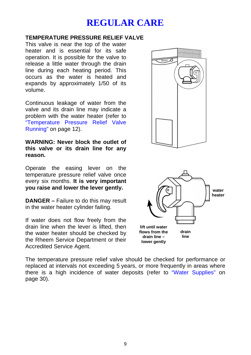# <span id="page-8-1"></span>**REGULAR CARE**

### <span id="page-8-0"></span>**TEMPERATURE PRESSURE RELIEF VALVE**

This valve is near the top of the water heater and is essential for its safe operation. It is possible for the valve to release a little water through the drain line during each heating period. This occurs as the water is heated and expands by approximately 1/50 of its volume.

Continuous leakage of water from the valve and its drain line may indicate a problem with the water heater (refer to ["Temperature Pressure Relief Va](#page-11-0)lve Running" on page 12).

**WARNING: Never block the outlet of this valve or its drain line for any reason.** 

Operate the easing lever on the temperature pressure relief valve once every six months. **It is very important you raise and lower the lever gently.**

**DANGER –** Failure to do this may result in the water heater cylinder failing.

If water does not flow freely from the drain line when the lever is lifted, then the water heater should be checked by the Rheem Service Department or their Accredited Service Agent.





The temperature pressure relief valve should be checked for performance or replaced at intervals not exceeding 5 years, or more frequently in areas where there is a high incidence of water deposits (refer to "Water Supplies" on page 30).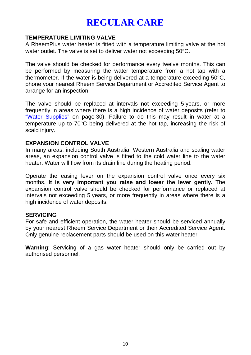# **REGULAR CARE**

### **TEMPERATURE LIMITING VALVE**

A RheemPlus water heater is fitted with a temperature limiting valve at the hot water outlet. The valve is set to deliver water not exceeding 50°C.

The valve should be checked for performance every twelve months. This can be performed by measuring the water temperature from a hot tap with a thermometer. If the water is being delivered at a temperature exceeding 50°C, phone your nearest Rheem Service Department or Accredited Service Agent to arrange for an inspection.

The valve should be replaced at intervals not exceeding 5 years, or more frequently in areas where there is a high incidence of water deposits (refer to "Water Supplies" on page 30). Failure to do this may result in water at a temperature up to 70°C being delivered at the hot tap, increasing the risk of scald injury.

### **EXPANSION CONTROL VALVE**

In many areas, including South Australia, Western Australia and scaling water areas, an expansion control valve is fitted to the cold water line to the water heater. Water will flow from its drain line during the heating period.

Operate the easing lever on the expansion control valve once every six months. **It is very important you raise and lower the lever gently.** The expansion control valve should be checked for performance or replaced at intervals not exceeding 5 years, or more frequently in areas where there is a high incidence of water deposits.

#### **SERVICING**

For safe and efficient operation, the water heater should be serviced annually by your nearest Rheem Service Department or their Accredited Service Agent. Only genuine replacement parts should be used on this water heater.

**Warning**: Servicing of a gas water heater should only be carried out by authorised personnel.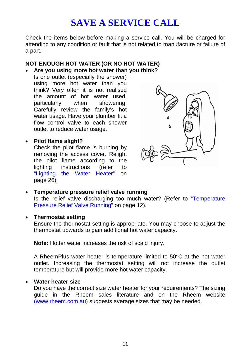# <span id="page-10-2"></span><span id="page-10-0"></span>**SAVE A SERVICE CALL**

<span id="page-10-1"></span>Check the items below before making a service call. You will be charged for attending to any condition or fault that is not related to manufacture or failure of a part.

#### **NOT ENOUGH HOT WATER ([OR N](#page-25-1)O HOT WATER)**

• **Are you using more hot water than you think?** 

Is one outlet (especially the shower) using more hot water than you think? Very often it i[s not realised](#page-11-0)  the amount of hot water used, particularly when showering. Carefully review the family's hot water usage. Have your plumber fit a flow control valve to each shower outlet to reduce water usage.

• **Pilot flame alight?** 

Check the pilot flame is burning by removing the access cover. Relight the pilot flame according to the lighting instructions (refer to "Lighting the Water Heater" on page 26).



• **Temperature pressure relief valve running** 

Is the relief valve discharging too much water? (Refer to ["Temperature](#page-11-0)  Pressure Relief Valve Running" on page 12).

#### • **Thermostat setting**

Ensure the thermostat setting is appropriate. You may choose to adjust the thermostat upwards to gain additional hot water capacity.

**Note:** Hotter water increases the risk of scald injury.

A RheemPlus water heater is temperature limited to 50°C at the hot water outlet. Increasing the thermostat setting will not increase the outlet temperature but will provide more hot water capacity.

#### • **Water heater size**

Do you have the correct size water heater for your requirements? The sizing guide in the Rheem sales literature and on the Rheem website (www.rheem.com.au) suggests average sizes that may be needed.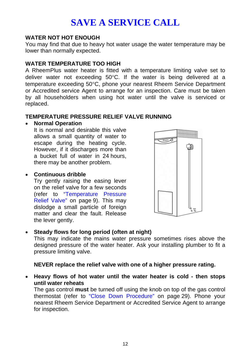# <span id="page-11-0"></span>**SAVE A SERVICE CALL**

#### **WATER NOT HOT ENOUGH**

You may find that due to heavy hot water usage the water temperature may be lower than normally expected.

#### **WATER TEMPERATURE TOO HIGH**

A RheemPlus water heater is fitted with a temperature limiting valve set to deliver water not exceeding 50°[C. If](#page-8-1) the water is being delivered at a temperature exceeding 50°C, phone your neares[t R](#page-8-1)heem Service Department or Accredited service Agent to arrange for an inspection. Care must be taken by all householders when using hot water until the valve is serviced or replaced.

### **TEMPERATURE PRESSURE RELIEF VALVE RUNNING**

#### • **Normal Operation**

It is normal and desirable this valve allows a small quantity of water to escape during the heating cycle. However, if it discharges more than a bucket full of water in 24 hours, there may be another problem.

### • **Continuous dribble**

Try gently raising the easing lever on the relief valve for a few seconds (refer to "Temperature Pressure Relief Valve" on page 9). This may dislodge a small particle of foreign matter and clear the fault. Release the lever gently.



### • **Steady flows for long period (often at night)**

This may indicate the mains water pressure sometimes rises above the designed pressure of the water heater. Ask your installing plumber to fit a pressure limiting valve.

### **NEVER replace the relief valve with one of a higher pressure rating.**

• **Heavy flows of hot water until the water heater is cold - then stops until water reheats** 

The gas control **must** be turned off using the knob on top of the gas control thermostat (refer to "Close Down Procedure" on page 29). Phone your nearest Rheem Service Department or Accredited Service Agent to arrange for inspection.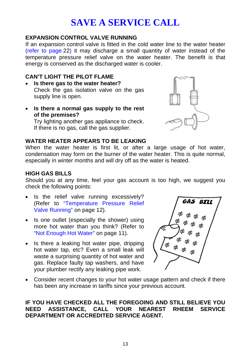# **SAVE A SERVICE CALL**

### **EXPANSION CONTROL VALVE RUNNING**

If an expansion control valve is fitted in the cold water line to the water heater (refer to page 22) it may discharge a small quantity of water instead of the temperature pressure relief valve on the water heater. The benefit is that energy is conserved as the discharged water is cooler.

### **CAN'T LIGHT THE PILOT FLAME**

- **Is there gas to the water heater?**  Check the gas isolati[on valve on the](#page-11-0) gas supply line is open.
- **Is there a normal gas supply to the rest of the premises?**

Try lighting another ga[s appliance to check.](#page-10-2)  If there is no gas, call the gas supplier.



#### **WATER HEATER APPEARS TO BE LEAKING**

When the water heater is first lit, or after a large usage of hot water, condensation may form on the burner of the water heater. This is quite normal, especially in winter months and will dry off as the water is heated.

### **HIGH GAS BILLS**

Should you at any time, feel your gas account is too high, we suggest you check the following points:

- Is the relief valve running excessively? (Refer t[o "Temperature Pressure Re](#page-11-0)lief Valve Running" on page 12).
- Is one outlet (especially the shower) using more hot water than you think? (Refer to "Not Enough Hot Water" on page 11).
- Is there a leaking hot water pipe, dripping hot water tap, etc? Even a small leak will waste a surprising quantity of hot water and gas. Replace faulty tap washers, and have your plumber rectify any leaking pipe work.



• Consider recent changes to your hot water usage pattern and check if there has been any increase in tariffs since your previous account.

### **IF YOU HAVE CHECKED ALL THE FOREGOING AND STILL BELIEVE YOU NEED ASSISTANCE, CALL YOUR NEAREST RHEEM SERVICE DEPARTMENT OR ACCREDITED SERVICE AGENT.**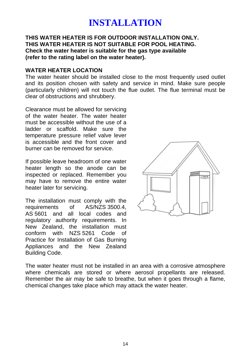#### <span id="page-13-0"></span>**THIS WATER HEATER IS FOR OUTDOOR INSTALLATION ONLY. THIS WATER HEATER IS NOT SUITABLE FOR POOL HEATING. Check the water heater is suitable for the gas type available (refer to the rating label on the water heater).**

#### **WATER HEATER LOCATION**

The water heater should be installed close to the most frequently used outlet and its position chosen with safety and service in mind. Make sure people (particularly children) will not touch the flue outlet. The flue terminal must be clear of obstructions and shrubbery.

Clearance must be allowed for servicing of the water heater. The water heater must be accessible without the use of a ladder or scaffold. Make sure the temperature pressure relief valve lever is accessible and the front cover and burner can be removed for service.

If possible leave headroom of one water heater length so the anode can be inspected or replaced. Remember you may have to remove the entire water heater later for servicing.

The installation must comply with the requirements of AS/NZS 3500.4, AS 5601 and all local codes and regulatory authority requirements. In New Zealand, the installation must conform with NZS 5261 Code of Practice for Installation of Gas Burning Appliances and the New Zealand Building Code.



The water heater must not be installed in an area with a corrosive atmosphere where chemicals are stored or where aerosol propellants are released. Remember the air may be safe to breathe, but when it goes through a flame, chemical changes take place which may attack the water heater.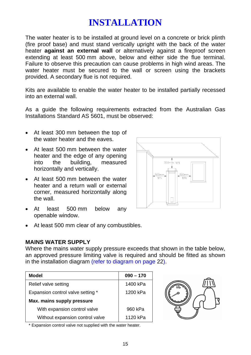The water heater is to be installed at ground level on a concrete or brick plinth (fire proof base) and must stand vertically upright with the back of the water heater **against an external wall** or alternatively against a fireproof screen extending at least 500 mm above, below and either side the flue terminal. Failure to observe this precaution can cause problems in high wind areas. The water heater must be secured to the wall or screen using the brackets provided. A secondary flue is not required.

Kits are available to enable the water heater to be installed partially recessed into an external wall.

As a guide the following requirements extracted from the Australian Gas Installations Standard AS 5601, must be observed:

- At least 300 mm between the top of the water heater and the eaves.
- At least 500 mm between the water heater and the edge of any opening into the building, measured horizontally and vertically.
- At least 500 mm between the water heater and a return wall or external corner, measured horizontally along the wall.
- At least 500 mm below any openable window.
- At least 500 mm clear of any combustibles.

### **MAINS WATER SUPPLY**

Where the mains water supply pressure exceeds that shown in the table below, an approved pressure limiting valve is required and should be fitted as shown in the installation diagram (refer to diagram on page 22).

| Model                             | $090 - 170$ |
|-----------------------------------|-------------|
| Relief valve setting              | 1400 kPa    |
| Expansion control valve setting * | 1200 kPa    |
| Max. mains supply pressure        |             |
| With expansion control valve      | 960 kPa     |
| Without expansion control valve   | 1120 kPa    |



\* Expansion control valve not supplied with the water heater.

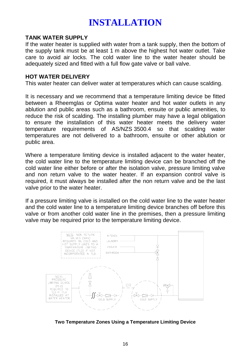#### <span id="page-15-0"></span>**TANK WATER SUPPLY**

If the water heater is supplied with water from a tank supply, then the bottom of the supply tank must be at least 1 m above the highest hot water outlet. Take care to avoid air locks. The cold water line to the water heater should be adequately sized and fitted with a full flow gate valve or ball valve.

#### **HOT WATER DELIVERY**

This water heater can deliver water at temperatures which can cause scalding.

It is necessary and we recommend that a temperature limiting device be fitted between a Rheemglas or Optima water heater and hot water outlets in any ablution and public areas such as a bathroom, ensuite or public amenities, to reduce the risk of scalding. The installing plumber may have a legal obligation to ensure the installation of this water heater meets the delivery water temperature requirements of AS/NZS 3500.4 so that scalding water temperatures are not delivered to a bathroom, ensuite or other ablution or public area.

Where a temperature limiting device is installed adjacent to the water heater, the cold water line to the temperature limiting device can be branched off the cold water line either before or after the isolation valve, pressure limiting valve and non return valve to the water heater. If an expansion control valve is required, it must always be installed after the non return valve and be the last valve prior to the water heater.

If a pressure limiting valve is installed on the cold water line to the water heater and the cold water line to a temperature limiting device branches off before this valve or from another cold water line in the premises, then a pressure limiting valve may be required prior to the temperature limiting device.



**Two Temperature Zones Using a Temperature Limiting Device**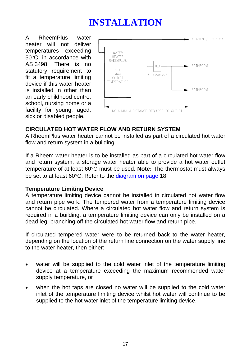A RheemPlus water heater will not deliver temperatures exceeding 50°C, in accordance with AS 3498. There is no statutory requirement to fit a temperature limiting device if this water heater is installed in other than an early childhood centre, school, nursing home or a facility for young, aged, sick or disabled people.



### **CIRCULATED HOT WATER FLOW AND RETURN SYSTEM**

A RheemPlus water heater cannot be installed as part of a circulated hot water flow and return system in a building.

If a Rheem water heater is to be installed as part of a circulated hot water flow and return system, a storage water heater able to provide a hot water outlet temperature of at least 60°C must be used. **Note:** The thermostat must always be set to at least 60°C. Refer to the diagram on page 18.

### **Temperature Limiting Device**

A temperature limiting device cannot be installed in circulated hot water flow and return pipe work. The tempered water from a temperature limiting device cannot be circulated. Where a circulated hot water flow and return system is required in a building, a temperature limiting device can only be installed on a dead leg, branching off the circulated hot water flow and return pipe.

If circulated tempered water were to be returned back to the water heater, depending on the location of the return line connection on the water supply line to the water heater, then either:

- water will be supplied to the cold water inlet of the temperature limiting device at a temperature exceeding the maximum recommended water supply temperature, or
- when the hot taps are closed no water will be supplied to the cold water inlet of the temperature limiting device whilst hot water will continue to be supplied to the hot water inlet of the temperature limiting device.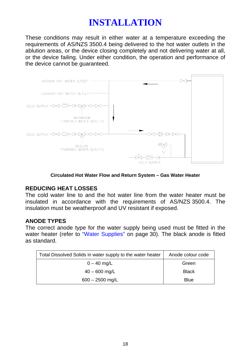These conditions may result in either water at a temperature exceeding the requirements of AS/NZS 3500.4 being delivered to the hot water outlets in the ablution areas, or the device closing completely and not delivering water at all, or the device failing. Under either condition, the operation and performance of the device cannot be guaranteed.



**Circulated Hot Water Flow and Return System – Gas Water Heater** 

### **REDUCING HEAT LOSSES**

The cold water line to and the hot water line from the water heater must be insulated in accordance with the requirements of AS/NZS 3500.4. The insulation must be weatherproof and UV resistant if exposed.

### **ANODE TYPES**

The correct anode type for the water supply being used must be fitted in the water heater (refer to "Water Supplies" on page 30). The black anode is fitted as standard.

| Total Dissolved Solids in water supply to the water heater | Anode colour code |
|------------------------------------------------------------|-------------------|
| $0 - 40$ mg/L                                              | Green             |
| $40 - 600$ mg/L                                            | <b>Black</b>      |
| $600 - 2500$ mg/L                                          | Blue              |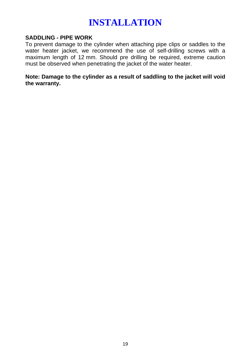### **SADDLING - PIPE WORK**

To prevent damage to the cylinder when attaching pipe clips or saddles to the water heater jacket, we recommend the use of self-drilling screws with a maximum length of 12 mm. Should pre drilling be required, extreme caution must be observed when penetrating the jacket of the water heater.

**Note: Damage to the cylinder as a result of saddling to the jacket will void the warranty.**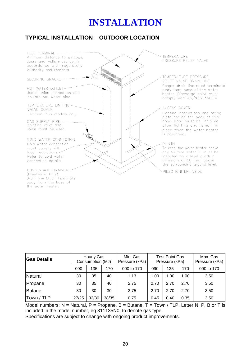# <span id="page-19-0"></span>**TYPICAL INSTALLATION – OUTDOOR LOCATION**



| <b>Gas Details</b> | Hourly Gas<br>Consumption (MJ) |       | Min. Gas<br>Pressure (kPa) | <b>Test Point Gas</b><br>Pressure (kPa) |      | Max. Gas<br>Pressure (kPa) |      |            |
|--------------------|--------------------------------|-------|----------------------------|-----------------------------------------|------|----------------------------|------|------------|
|                    | 090                            | 135   | 170                        | 090 to 170                              | 090  | 135                        | 170  | 090 to 170 |
| Natural            | 30                             | 35    | 40                         | 1.13                                    | 1.00 | 1.00                       | 1.00 | 3.50       |
| Propane            | 30                             | 35    | 40                         | 2.75                                    | 2.70 | 2.70                       | 2.70 | 3.50       |
| Butane             | 30                             | 30    | 30                         | 2.75                                    | 2.70 | 2.70                       | 2.70 | 3.50       |
| Town / TLP         | 27/25                          | 32/30 | 38/35                      | 0.75                                    | 0.45 | 0.40                       | 0.35 | 3.50       |

Model numbers:  $N =$  Natural, P = Propane, B = Butane, T = Town / TLP, Letter N, P, B or T is included in the model number, eg 311135N0, to denote gas type.

Specifications are subject to change with ongoing product improvements.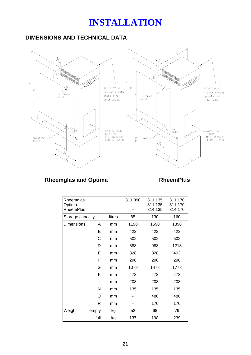# **DIMENSIONS AND TECHNICAL DATA**



# Rheemglas and Optima **RheemPlus**

| Rheemglas<br>Optima<br><b>RheemPlus</b> |       |        | 311 090 | 311 135<br>811 135<br>314 135 | 311 170<br>811 170<br>314 170 |
|-----------------------------------------|-------|--------|---------|-------------------------------|-------------------------------|
| Storage capacity                        |       | litres | 85      | 130                           | 160                           |
| <b>Dimensions</b>                       | A     | mm     | 1198    | 1598                          | 1898                          |
|                                         | B     | mm     | 422     | 422                           | 422                           |
|                                         | С     | mm     | 502     | 502                           | 502                           |
|                                         | D     | mm     | 588     | 988                           | 1213                          |
|                                         | E     | mm     | 328     | 328                           | 403                           |
| F<br>G<br>Κ<br>L                        |       | mm     | 298     | 298                           | 298                           |
|                                         |       | mm     | 1078    | 1478                          | 1778                          |
|                                         |       | mm     | 473     | 473                           | 473                           |
|                                         |       | mm     | 208     | 208                           | 208                           |
|                                         | N     | mm     | 135     | 135                           | 135                           |
| Q                                       |       | mm     |         | 480                           | 480                           |
|                                         | R     | mm     |         | 170                           | 170                           |
| Weight                                  | empty | kg     | 52      | 68                            | 79                            |
|                                         | full  | kg     | 137     | 198                           | 239                           |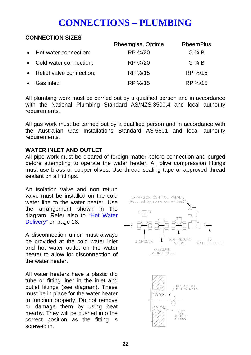# <span id="page-21-2"></span><span id="page-21-0"></span>**CONNECTIONS – PLUMBING**

## <span id="page-21-1"></span>**CONNECTION SIZES**

|                            | Rheemglas, Optima | <b>RheemPlus</b>  |
|----------------------------|-------------------|-------------------|
| • Hot water connection:    | RP 3/4/20         | G $\frac{3}{4}$ B |
| • Cold water connection:   | RP 3/4/20         | G $\frac{3}{4}$ B |
| • Relief valve connection: | RP %/15           | RP 1/2/15         |
| $\bullet$ Gas inlet:       | RP %/15           | RP 1/2/15         |

All plumbing work must be carri[ed out by a qu](#page-15-0)alified person and in accordance with the National Plumbing Standard [AS](#page-15-0)/NZS 3500.4 and local authority requirements.

All gas work must be carried out by a qualified person and in accordance with the Australian Gas Installations Standard AS 5601 and local authority requirements.

### **WATER INLET AND OUTLET**

All pipe work must be cleared of foreign matter before connection and purged before attempting to operate the water heater. All olive compression fittings must use brass or copper olives. Use thread sealing tape or approved thread sealant on all fittings.

An isolation valve and non return valve must be installed on the cold water line to the water heater. Use the arrangement shown in the diagram. Refer also to "Hot Water Delivery" on page 16.

A disconnection union must always be provided at the cold water inlet and hot water outlet on the water heater to allow for disconnection of the water heater.

All water heaters have a plastic dip tube or fitting liner in the inlet and outlet fittings (see diagram). These must be in place for the water heater to function properly. Do not remove or damage them by using heat nearby. They will be pushed into the correct position as the fitting is screwed in.

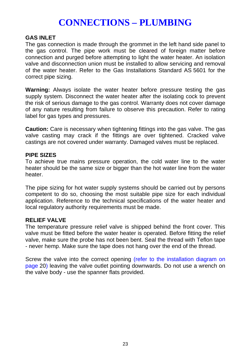# **CONNECTIONS – PLUMBING**

#### **GAS INLET**

The gas connection is made through the grommet in the left hand side panel to the gas control. The pipe work must be cleared of foreign matter before connection and purged before attempting to light the water heater. An isolation valve and disconnection union must be installed to allow servicing and removal of the water heater. Refer to the Gas Installations Standard AS 5601 for the correct pipe sizing.

**Warning:** Always isolate the water heater before pressure testing the gas supply system. Disconnect the water heater after the isolating cock to prevent the risk of serious damage to the gas control. Warranty does not cover damage of any nature resulting from failure to observe this precaution. Refer to rating label for gas types and pressures.

**Caution:** Care is necessary when tightening fittings into the gas valve. The gas valve casting may crack if the fittings are over tightened. Cracked valve castings are not cover[ed under w](#page-19-0)arranty. Damaged valves must be replaced.

#### **PIPE SIZES**

To achieve true mains pressure operation, the cold water line to the water heater should be the same size or bigger than the hot water line from the water heater.

The pipe sizing for hot water supply systems should be carried out by persons competent to do so, choosing the most suitable pipe size for each individual application. Reference to the technical specifications of the water heater and local regulatory authority requirements must be made.

#### **RELIEF VALVE**

The temperature pressure relief valve is shipped behind the front cover. This valve must be fitted before the water heater is operated. Before fitting the relief valve, make sure the probe has not been bent. Seal the thread with Teflon tape - never hemp. Make sure the tape does not hang over the end of the thread.

Screw the valve into the correct opening [\(refer to the installation diagram on](#page-19-0)  page 20) leaving the valve outlet pointing downwards. Do not use a wrench on the valve body - use the spanner flats provided.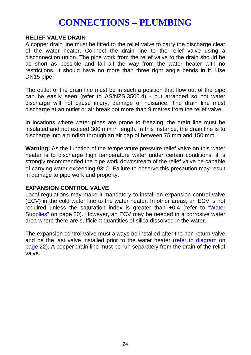# **CONNECTIONS – PLUMBING**

#### **RELIEF VALVE DRAIN**

A copper drain line must be fitted to the relief valve to carry the discharge clear of the water heater. Connect the drain line to the relief valve using a disconnection union. The pipe work from the relief valve to the drain should be as short as possible and fall all the way from the water heater with no restrictions. It should have no more than three right angle bends in it. Use DN15 pipe.

The outlet of the drain line must be in such a position that flow out of the pipe can be easily seen ([refer to A](#page-29-0)S/NZS 3[500](#page-29-0).4) - but arranged so hot water discharge will not cause injury, damage or nuisance. The drain line must discharge at an outlet or air break not more than 9 metres from the relief valve.

In locations where water pipes are prone to freezing, the drain line must be insulated and not exce[ed 300 m](#page-21-2)m in length. In this instance, the drain line is to discharge into a tundish through an air gap of between 75 mm and 150 mm.

**Warning:** As the function of the temperature pressure relief valve on this water heater is to discharge high temperature water under certain conditions, it is strongly recommended the pipe work downstream of the relief valve be capable of carrying water exceeding 93°C. Failure to observe this precaution may result in damage to pipe work and property.

#### **EXPANSION CONTROL VALVE**

Local regulations may make it mandatory to install an expansion control valve (ECV) in the cold water line to the water heater. In other areas, an ECV is not required unless the saturation index is greater than +0.4 (refer to ["Water](#page-29-0)  Supplies" on page 30). However, an ECV may be needed in a corrosive water area where there are sufficient quantities of silica dissolved in the water.

The expansion control valve must always be installed after the non return valve and be the last valve installed prior to the water heater (refer to diagram on page 22). A copper drain line must be run separately from the drain of the relief valve.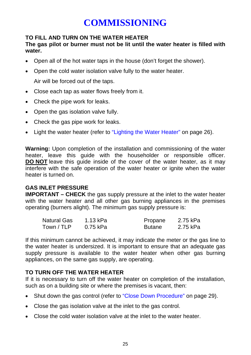# <span id="page-24-0"></span>**COMMISSIONING**

### <span id="page-24-1"></span>**TO FILL AND TURN ON THE WATER HEATER**

# **The gas pilot or burner must not be lit until the water heater is filled with water.**

- Open all of the hot water taps in the house (don't forget the shower).
- Open the cold water isolation valve fully to the water heater.

Air will be forced out of the taps.

- Close each tap as water flows freely from it.
- Check the pipe work for leaks.
- Open the gas isolation valve fully.
- Check the gas pipe work for leaks.
- Light the water heater (refer to "Lighting the Water Heater" on page 26).

<span id="page-24-2"></span>**Warning:** Upon completion of the installation and commissioning of the water heater, leave this guide with the householder or responsible officer. **DO NOT** leave this guide inside of the cover of the water heater, as it may interfere with the safe operation of the water heater or ignite when the water heater is turned on.

### **GAS INLET PRESSURE**

**IMPORTANT – CHECK** the gas supply pressure at the inlet to the water heater with the water heater and all other gas burning appliances in the premises operating (burners alight). The minimum gas supply pressure is:

| Natural Gas | 1.13 kPa | Propane       | 2.75 kPa |
|-------------|----------|---------------|----------|
| Town / TLP  | 0.75 kPa | <b>Butane</b> | 2.75 kPa |

If this minimum cannot be achieved, it may indicate the meter or the gas line to the water heater is undersized. It is important to ensure that an adequate gas supply pressure is available to the water heater when other gas burning appliances, on the same gas supply, are operating.

### **TO TURN OFF THE WATER HEATER**

If it is necessary to turn off the water heater on completion of the installation, such as on a building site or where the premises is vacant, then:

- Shut down the gas control (refer to "Close Down Procedure" on page 29).
- Close the gas isolation valve at the inlet to the gas control.
- Close the cold water isolation valve at the inlet to the water heater.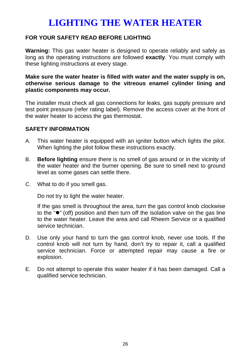# <span id="page-25-1"></span><span id="page-25-0"></span>**FOR YOUR SAFETY READ BEFORE LIGHTING**

**Warning:** This gas water heater is designed to operate reliably and safely as long as the operating instructions are followed **exactly**. You must comply with these lighting instructions at every stage.

#### **Make sure the water heater is filled with water and the water supply is on, otherwise serious damage to the vitreous enamel cylinder lining and plastic components may occur.**

The installer must check all gas connections for leaks, gas supply pressure and test point pressure (refer rating label). Remove the access cover at the front of the water heater to access the gas thermostat.

### **SAFETY INFORMATION**

- A. This water heater is equipped with an igniter button which lights the pilot. When lighting the pilot follow these instructions exactly.
- B. **Before lighting** ensure there is no smell of gas around or in the vicinity of the water heater and the burner opening. Be sure to smell next to ground level as some gases can settle there.
- C. What to do if you smell gas.

Do not try to light the water heater.

If the gas smell is throughout the area, turn the gas control knob clockwise to the " $\bullet$ " (off) position and then turn off the isolation valve on the gas line to the water heater. Leave the area and call Rheem Service or a qualified service technician.

- D. Use only your hand to turn the gas control knob, never use tools. If the control knob will not turn by hand, don't try to repair it, call a qualified service technician. Force or attempted repair may cause a fire or explosion.
- E. Do not attempt to operate this water heater if it has been damaged. Call a qualified service technician.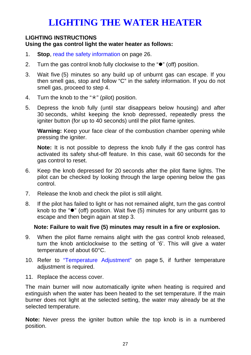#### **LIGHTING INSTRUCTIONS Using the gas control light the water heater as follows:**

- 1. **Stop**, read the safety information on page 26.
- 2. Turn the gas control knob fully clockwise to the " $\bullet$ " (off) position.
- 3. Wait five (5) minutes so any build up of unburnt gas can escape. If you then smell gas, stop and follow "C" in the safety information. If you do not smell gas, proceed to step 4.
- 4. Turn the knob to the " $\star$ " (pilot) position.
- 5. Depress the knob fully (until star disappears below housing) and after 30 seconds, whilst keeping the knob depressed, repeatedly press the igniter button (for up to 40 seconds) until the pilot flame ignites.

**Warning:** Keep your face clear of the combustion chamber opening while pressing the igniter.

**Note:** It is not possible to depr[ess the knob fully if the ga](#page-4-0)s control [ha](#page-4-0)s activated its safety shut-off feature. In this case, wait 60 seconds for the gas control to reset.

- 6. Keep the knob depressed for 20 seconds after the pilot flame lights. The pilot can be checked by looking through the large opening below the gas control.
- 7. Release the knob and check the pilot is still alight.
- 8. If the pilot has failed to light or has not remained alight, turn the gas control knob to the " $\bullet$ " (off) position. Wait five (5) minutes for any unburnt gas to escape and then begin again at step 3.

### **Note: Failure to wait five (5) minutes may result in a fire or explosion.**

- 9. When the pilot flame remains alight with the gas control knob released, turn the knob anticlockwise to the setting of '6'. This will give a water temperature of about 60°C.
- 10. Refer to "Temperature Adjustment" on page 5, if further temperature adjustment is required.
- 11. Replace the access cover.

The main burner will now automatically ignite when heating is required and extinguish when the water has been heated to the set temperature. If the main burner does not light at the selected setting, the water may already be at the selected temperature.

**Note:** Never press the igniter button while the top knob is in a numbered position.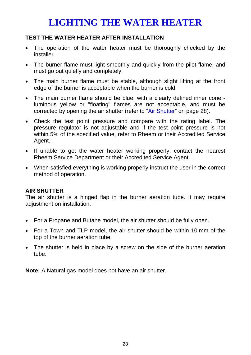# **TEST THE WATER HEATER AFTER INSTALLATION**

- The operation of the water heater must be thoroughly checked by the installer.
- The burner flame must light smoothly and quickly from the pilot flame, and must go out quietly and completely.
- The main burner flame must be stable, although slight lifting at the front edge of the burner is acceptable when the burner is cold.
- The main burner flame should be blue, with a clearly defined inner cone luminous yellow or "floating" flames are not acceptable, and must be corrected by opening the air shutter (refer to "Air Shutter" on page 28).
- Check the test point pressure and compare with the rating label. The pressure regulator is not adjustable and if the test point pressure is not within 5% of the specified value, refer to Rheem or their Accredited Service Agent.
- If unable to get the water heater working properly, contact the nearest Rheem Service Department or their Accredited Service Agent.
- When satisfied everything is working properly instruct the user in the correct method of operation.

# **AIR SHUTTER**

The air shutter is a hinged flap in the burner aeration tube. It may require adjustment on installation.

- For a Propane and Butane model, the air shutter should be fully open.
- For a Town and TLP model, the air shutter should be within 10 mm of the top of the burner aeration tube.
- The shutter is held in place by a screw on the side of the burner aeration tube.

**Note:** A Natural gas model does not have an air shutter.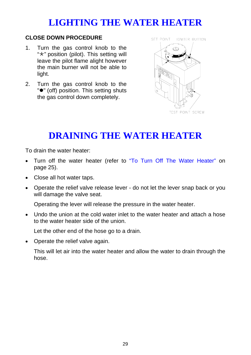### <span id="page-28-1"></span>**CLOSE DOWN PROCEDURE**

- 1. Turn the gas control knob to the " $\star$ " position (pilot). This s[etting](#page-24-2) will leave the pilot flame alight however the main burner will not be able to light.
- 2. Turn the gas control knob to the " $\bullet$ " (off) position. This setting shuts the gas control down completely.

<span id="page-28-0"></span>

# **DRAINING THE WATER HEATER**

To drain the water heater:

- Turn off the water heater (refer to "To Turn Off The Water Heater" on page 25).
- Close all hot water taps.
- Operate the relief valve release lever do not let the lever snap back or you will damage the valve seat.

Operating the lever will release the pressure in the water heater.

• Undo the union at the cold water inlet to the water heater and attach a hose to the water heater side of the union.

Let the other end of the hose go to a drain.

• Operate the relief valve again.

This will let air into the water heater and allow the water to drain through the hose.